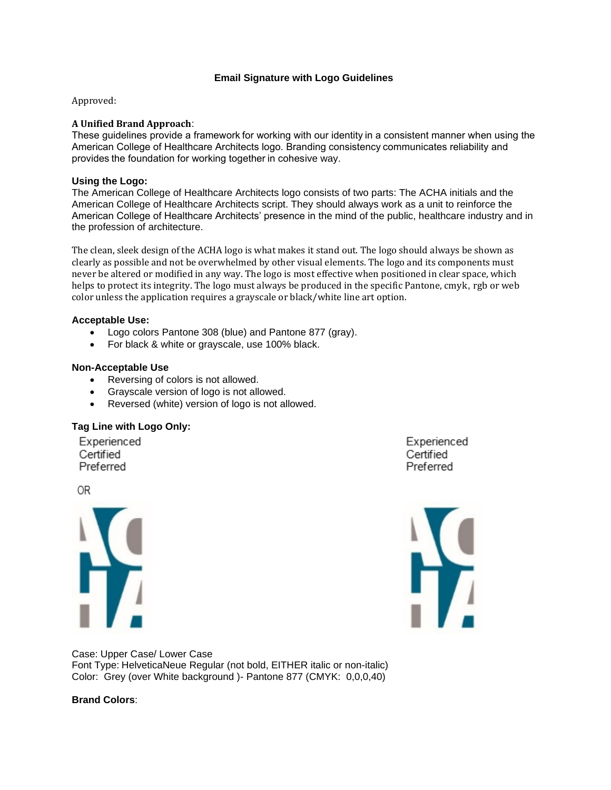# **Email Signature with Logo Guidelines**

Approved:

## **A Unified Brand Approach**:

These guidelines provide a framework for working with our identity in a consistent manner when using the American College of Healthcare Architects logo. Branding consistency communicates reliability and provides the foundation for working together in cohesive way.

#### **Using the Logo:**

The American College of Healthcare Architects logo consists of two parts: The ACHA initials and the American College of Healthcare Architects script. They should always work as a unit to reinforce the American College of Healthcare Architects' presence in the mind of the public, healthcare industry and in the profession of architecture.

The clean, sleek design of the ACHA logo is what makes it stand out. The logo should always be shown as clearly as possible and not be overwhelmed by other visual elements. The logo and its components must never be altered or modified in any way. The logo is most effective when positioned in clear space, which helps to protect its integrity. The logo must always be produced in the specific Pantone, cmyk, rgb or web color unless the application requires a grayscale or black/white line art option.

# **Acceptable Use:**

- Logo colors Pantone 308 (blue) and Pantone 877 (gray).
- For black & white or grayscale, use 100% black.

# **Non-Acceptable Use**

- Reversing of colors is not allowed.
- Grayscale version of logo is not allowed.
- Reversed (white) version of logo is not allowed.

#### **Tag Line with Logo Only:**

Experienced Certified Preferred

**OR** 



Experienced Certified Preferred



Case: Upper Case/ Lower Case Font Type: HelveticaNeue Regular (not bold, EITHER italic or non-italic) Color: Grey (over White background )- Pantone 877 (CMYK: 0,0,0,40)

# **Brand Colors**: